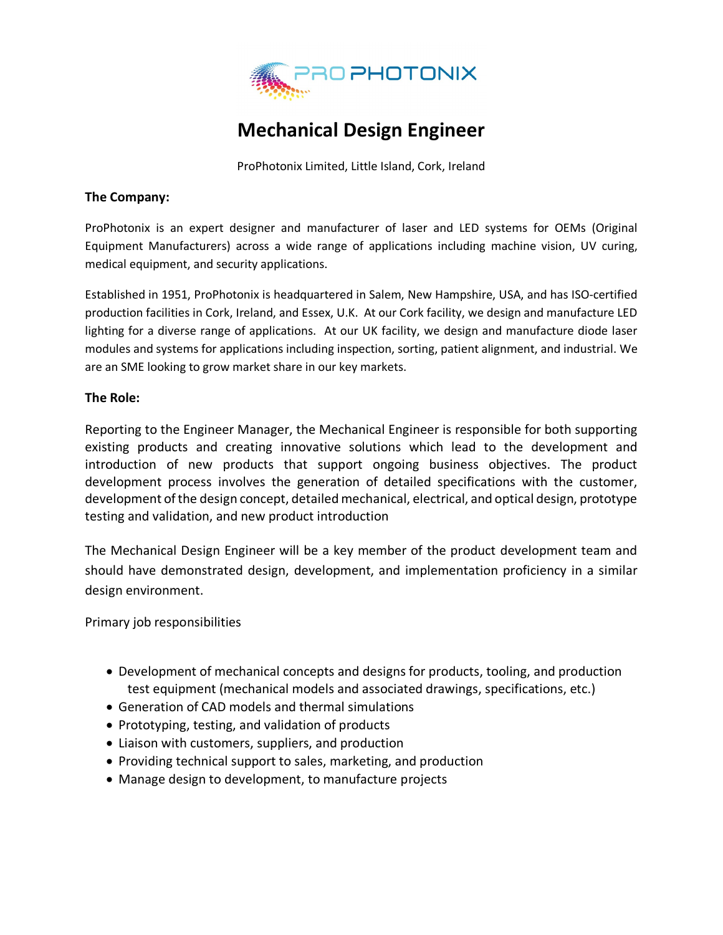

# **Mechanical Design Engineer**

ProPhotonix Limited, Little Island, Cork, Ireland

#### **The Company:**

ProPhotonix is an expert designer and manufacturer of laser and LED systems for OEMs (Original Equipment Manufacturers) across a wide range of applications including machine vision, UV curing, medical equipment, and security applications.

Established in 1951, ProPhotonix is headquartered in Salem, New Hampshire, USA, and has ISO-certified production facilities in Cork, Ireland, and Essex, U.K. At our Cork facility, we design and manufacture LED lighting for a diverse range of applications. At our UK facility, we design and manufacture diode laser modules and systems for applications including inspection, sorting, patient alignment, and industrial. We are an SME looking to grow market share in our key markets.

### **The Role:**

Reporting to the Engineer Manager, the Mechanical Engineer is responsible for both supporting existing products and creating innovative solutions which lead to the development and introduction of new products that support ongoing business objectives. The product development process involves the generation of detailed specifications with the customer, development of the design concept, detailed mechanical, electrical, and optical design, prototype testing and validation, and new product introduction

The Mechanical Design Engineer will be a key member of the product development team and should have demonstrated design, development, and implementation proficiency in a similar design environment.

Primary job responsibilities

- Development of mechanical concepts and designs for products, tooling, and production test equipment (mechanical models and associated drawings, specifications, etc.)
- Generation of CAD models and thermal simulations
- Prototyping, testing, and validation of products
- Liaison with customers, suppliers, and production
- Providing technical support to sales, marketing, and production
- Manage design to development, to manufacture projects